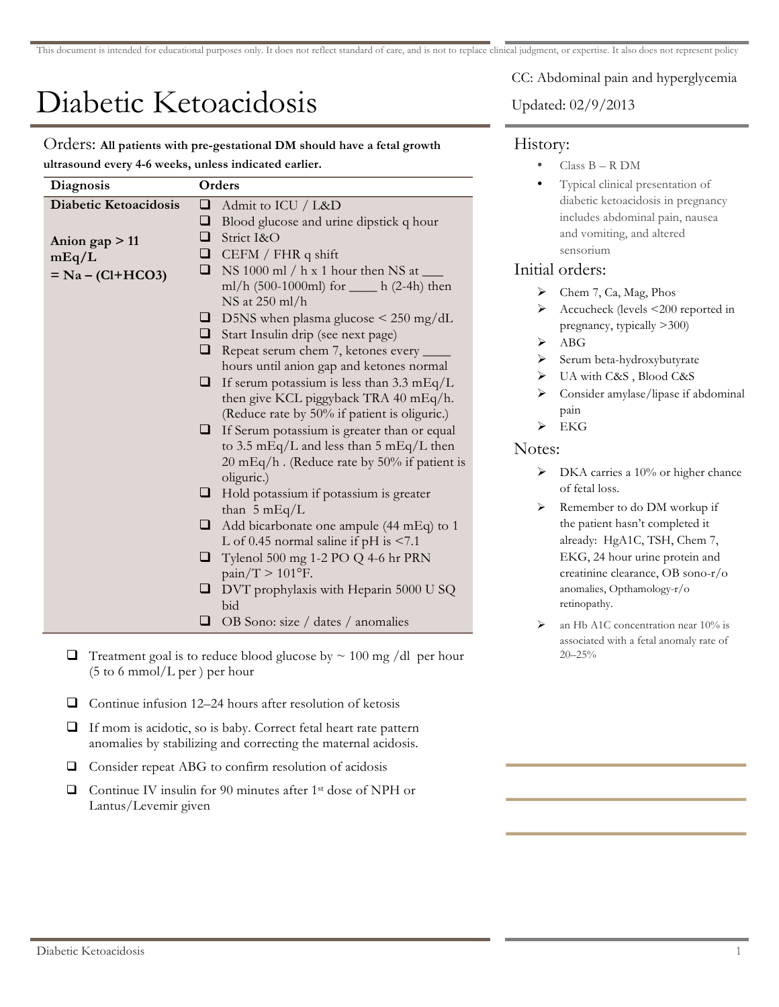# Diabetic Ketoacidosis

Orders: **All patients with pre-gestational DM should have a fetal growth ultrasound every 4-6 weeks, unless indicated earlier.**

| Diagnosis             | Orders |                                                                                           |  |  |
|-----------------------|--------|-------------------------------------------------------------------------------------------|--|--|
| Diabetic Ketoacidosis | ❏      | Admit to ICU / L&D                                                                        |  |  |
|                       | ❏      | Blood glucose and urine dipstick q hour                                                   |  |  |
| Anion gap $> 11$      | ❏      | Strict I&O                                                                                |  |  |
| mEq/L                 |        | $\Box$ CEFM / FHR q shift                                                                 |  |  |
| $= Na - (Cl + HCO3)$  | ❏      | NS 1000 ml / h x 1 hour then NS at $\_\_$                                                 |  |  |
|                       |        | ml/h (500-1000ml) for _____ h (2-4h) then                                                 |  |  |
|                       |        | NS at 250 ml/h                                                                            |  |  |
|                       |        | $\Box$ D5NS when plasma glucose < 250 mg/dL                                               |  |  |
|                       |        | Start Insulin drip (see next page)                                                        |  |  |
|                       |        | <b>Q</b> Repeat serum chem 7, ketones every _____                                         |  |  |
|                       |        | hours until anion gap and ketones normal                                                  |  |  |
|                       | ⊔      | If serum potassium is less than $3.3 \text{ mEq/L}$                                       |  |  |
|                       |        | then give KCL piggyback TRA 40 mEq/h.                                                     |  |  |
|                       |        | (Reduce rate by 50% if patient is oliguric.)                                              |  |  |
|                       |        | $\Box$ If Serum potassium is greater than or equal                                        |  |  |
|                       |        | to 3.5 mEq/L and less than 5 mEq/L then<br>20 mEq/h. (Reduce rate by $50\%$ if patient is |  |  |
|                       |        | oliguric.)                                                                                |  |  |
|                       |        | $\Box$ Hold potassium if potassium is greater                                             |  |  |
|                       |        | than $5 mEq/L$                                                                            |  |  |
|                       |        | Add bicarbonate one ampule (44 mEq) to 1                                                  |  |  |
|                       | ⊔      | L of 0.45 normal saline if $pH$ is $\leq 7.1$                                             |  |  |
|                       |        | Tylenol 500 mg 1-2 PO Q 4-6 hr PRN                                                        |  |  |
|                       | ⊔      | $\text{pain}/\text{T} > 101$ °F.                                                          |  |  |
|                       | ⊔      | DVT prophylaxis with Heparin 5000 U SQ                                                    |  |  |
|                       |        | bid                                                                                       |  |  |
|                       | ⊔      | OB Sono: size / dates / anomalies                                                         |  |  |
|                       |        |                                                                                           |  |  |

- $\Box$  Treatment goal is to reduce blood glucose by  $\sim 100$  mg /dl per hour  $(5 \text{ to } 6 \text{ mmol/L per})$  per hour
- $\Box$  Continue infusion 12–24 hours after resolution of ketosis
- If mom is acidotic, so is baby. Correct fetal heart rate pattern anomalies by stabilizing and correcting the maternal acidosis.
- $\Box$  Consider repeat ABG to confirm resolution of acidosis
- $\Box$  Continue IV insulin for 90 minutes after 1<sup>st</sup> dose of NPH or Lantus/Levemir given

CC: Abdominal pain and hyperglycemia

Updated: 02/9/2013

## History:

- Class B R DM
- Typical clinical presentation of diabetic ketoacidosis in pregnancy includes abdominal pain, nausea and vomiting, and altered sensorium

## Initial orders:

- $\blacktriangleright$  Chem 7, Ca, Mag, Phos
- > Accucheck (levels <200 reported in pregnancy, typically >300)
- $\triangleright$  ABG
- Serum beta-hydroxybutyrate
- UA with C&S , Blood C&S
- Consider amylase/lipase if abdominal pain
- $\triangleright$  EKG

### Notes:

- $\triangleright$  DKA carries a 10% or higher chance of fetal loss.
- > Remember to do DM workup if the patient hasn't completed it already: HgA1C, TSH, Chem 7, EKG, 24 hour urine protein and creatinine clearance, OB sono-r/o anomalies, Opthamology-r/o retinopathy.
- an Hb A1C concentration near 10% is associated with a fetal anomaly rate of 20–25%